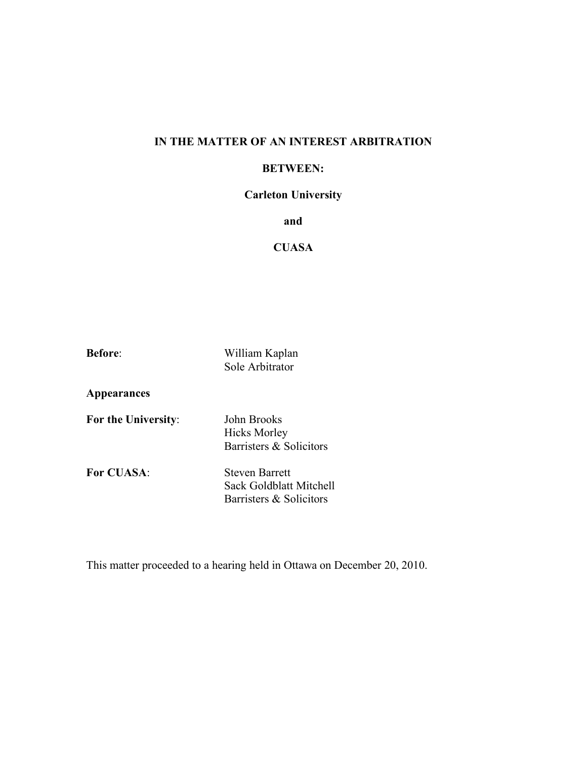### **IN THE MATTER OF AN INTEREST ARBITRATION**

#### **BETWEEN:**

## **Carleton University**

### **and**

## **CUASA**

**Before**: William Kaplan Sole Arbitrator

**Appearances**

**For the University**: John Brooks Hicks Morley Barristers & Solicitors

**For CUASA**: Steven Barrett

Sack Goldblatt Mitchell Barristers & Solicitors

This matter proceeded to a hearing held in Ottawa on December 20, 2010.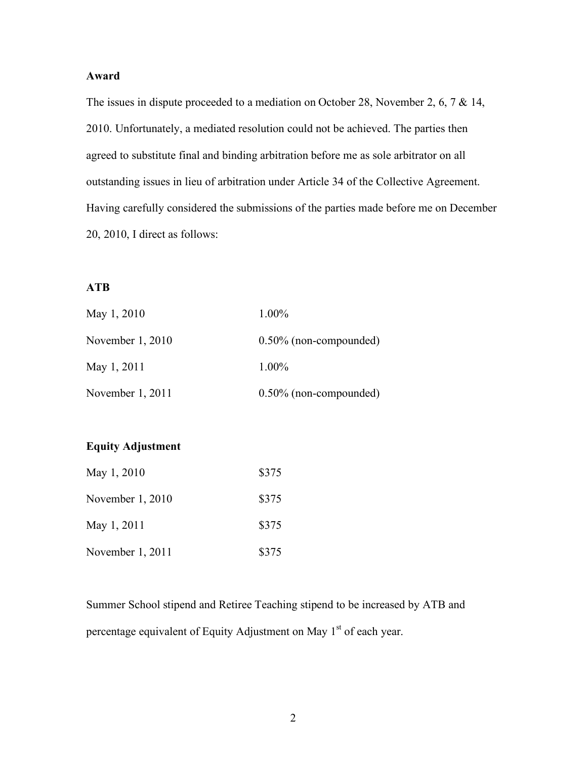### **Award**

The issues in dispute proceeded to a mediation on October 28, November 2, 6, 7 & 14, 2010. Unfortunately, a mediated resolution could not be achieved. The parties then agreed to substitute final and binding arbitration before me as sole arbitrator on all outstanding issues in lieu of arbitration under Article 34 of the Collective Agreement. Having carefully considered the submissions of the parties made before me on December 20, 2010, I direct as follows:

## **ATB**

| May 1, 2010        | 1.00%                     |
|--------------------|---------------------------|
| November $1,2010$  | $0.50\%$ (non-compounded) |
| May 1, 2011        | 1.00%                     |
| November $1, 2011$ | $0.50\%$ (non-compounded) |

# **Equity Adjustment**

| May 1, 2010      | \$375 |
|------------------|-------|
| November 1, 2010 | \$375 |
| May 1, 2011      | \$375 |
| November 1, 2011 | \$375 |

Summer School stipend and Retiree Teaching stipend to be increased by ATB and percentage equivalent of Equity Adjustment on May 1<sup>st</sup> of each year.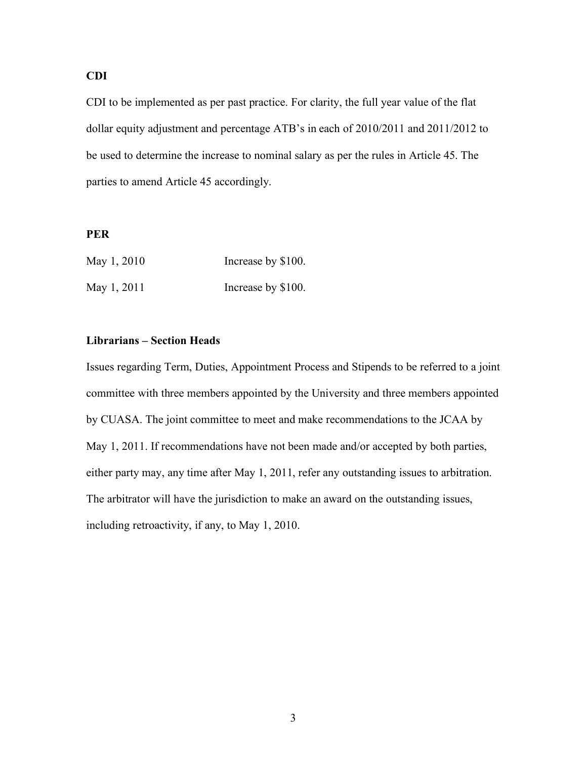## **CDI**

CDI to be implemented as per past practice. For clarity, the full year value of the flat dollar equity adjustment and percentage ATB's in each of 2010/2011 and 2011/2012 to be used to determine the increase to nominal salary as per the rules in Article 45. The parties to amend Article 45 accordingly.

#### **PER**

| May 1, 2010 | Increase by \$100. |
|-------------|--------------------|
| May 1, 2011 | Increase by \$100. |

#### **Librarians – Section Heads**

Issues regarding Term, Duties, Appointment Process and Stipends to be referred to a joint committee with three members appointed by the University and three members appointed by CUASA. The joint committee to meet and make recommendations to the JCAA by May 1, 2011. If recommendations have not been made and/or accepted by both parties, either party may, any time after May 1, 2011, refer any outstanding issues to arbitration. The arbitrator will have the jurisdiction to make an award on the outstanding issues, including retroactivity, if any, to May 1, 2010.